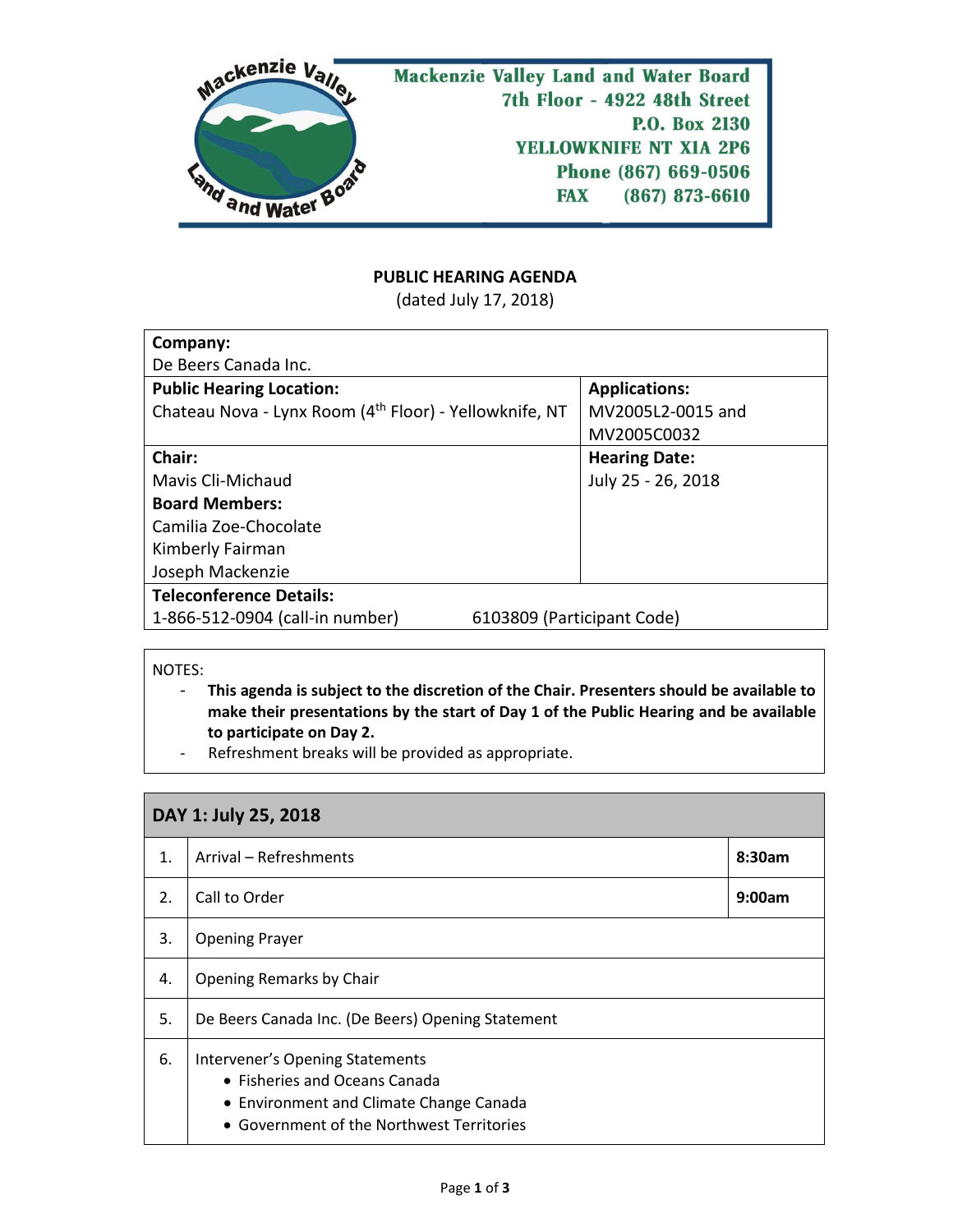

## **PUBLIC HEARING AGENDA**

(dated July 17, 2018)

| Company:                                                           |                            |                      |  |  |
|--------------------------------------------------------------------|----------------------------|----------------------|--|--|
| De Beers Canada Inc.                                               |                            |                      |  |  |
| <b>Public Hearing Location:</b>                                    |                            | <b>Applications:</b> |  |  |
| Chateau Nova - Lynx Room (4 <sup>th</sup> Floor) - Yellowknife, NT |                            | MV2005L2-0015 and    |  |  |
|                                                                    |                            | MV2005C0032          |  |  |
| Chair:                                                             |                            | <b>Hearing Date:</b> |  |  |
| Mavis Cli-Michaud                                                  |                            | July 25 - 26, 2018   |  |  |
| <b>Board Members:</b>                                              |                            |                      |  |  |
| Camilia Zoe-Chocolate                                              |                            |                      |  |  |
| Kimberly Fairman                                                   |                            |                      |  |  |
| Joseph Mackenzie                                                   |                            |                      |  |  |
| <b>Teleconference Details:</b>                                     |                            |                      |  |  |
| 1-866-512-0904 (call-in number)                                    | 6103809 (Participant Code) |                      |  |  |

NOTES:

- **This agenda is subject to the discretion of the Chair. Presenters should be available to make their presentations by the start of Day 1 of the Public Hearing and be available to participate on Day 2.**
- Refreshment breaks will be provided as appropriate.

| DAY 1: July 25, 2018 |                                                                                                                                                          |        |  |  |
|----------------------|----------------------------------------------------------------------------------------------------------------------------------------------------------|--------|--|--|
| $\mathbf{1}$ .       | Arrival - Refreshments                                                                                                                                   | 8:30am |  |  |
| 2.                   | Call to Order                                                                                                                                            | 9:00am |  |  |
| 3.                   | <b>Opening Prayer</b>                                                                                                                                    |        |  |  |
| 4.                   | Opening Remarks by Chair                                                                                                                                 |        |  |  |
| 5.                   | De Beers Canada Inc. (De Beers) Opening Statement                                                                                                        |        |  |  |
| 6.                   | Intervener's Opening Statements<br>• Fisheries and Oceans Canada<br>• Environment and Climate Change Canada<br>• Government of the Northwest Territories |        |  |  |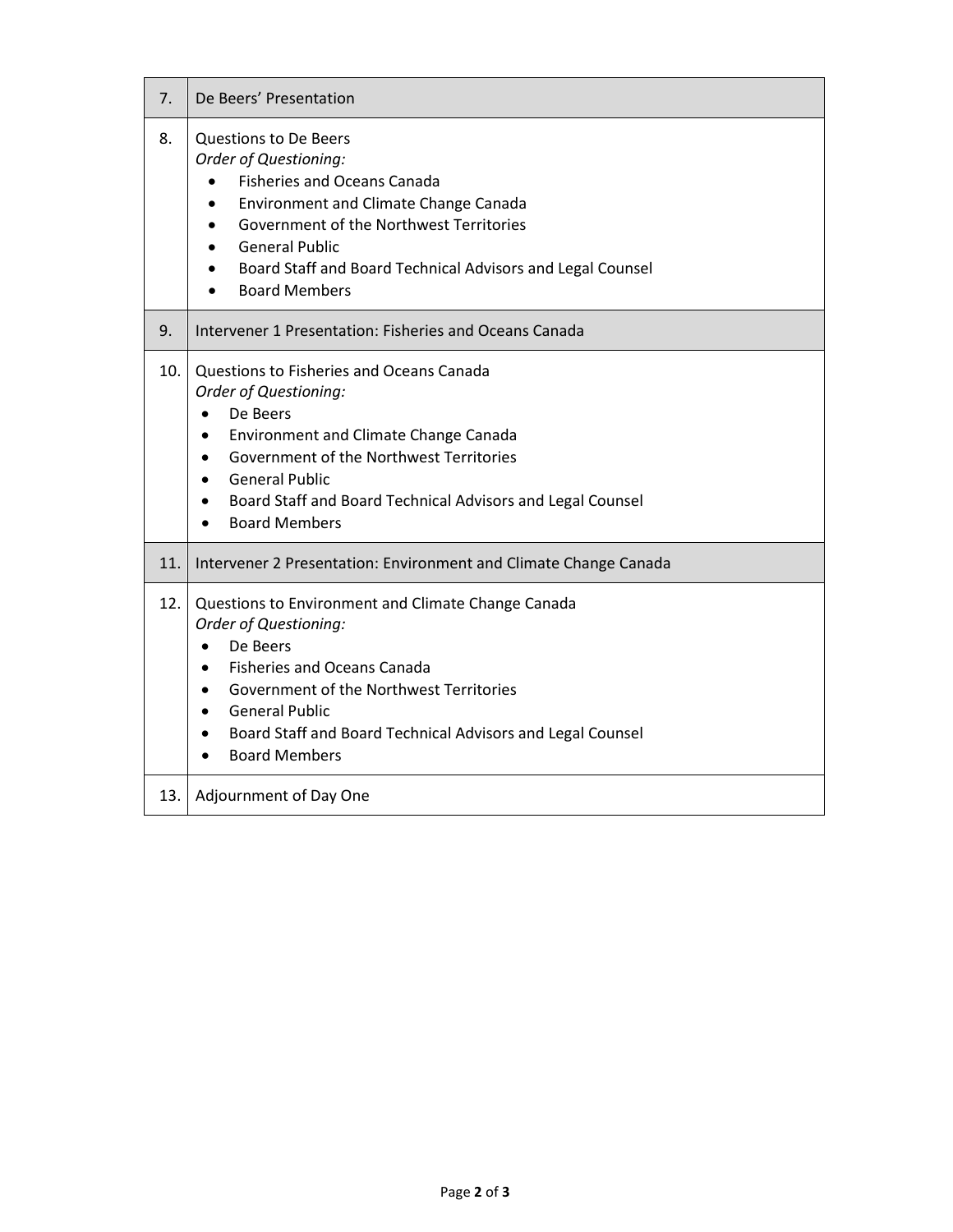| 7.   | De Beers' Presentation                                                                                                                                                                                                                                                                                                   |
|------|--------------------------------------------------------------------------------------------------------------------------------------------------------------------------------------------------------------------------------------------------------------------------------------------------------------------------|
| 8.   | <b>Questions to De Beers</b><br>Order of Questioning:<br><b>Fisheries and Oceans Canada</b><br>Environment and Climate Change Canada<br>$\bullet$<br>Government of the Northwest Territories<br>$\bullet$<br><b>General Public</b><br>Board Staff and Board Technical Advisors and Legal Counsel<br><b>Board Members</b> |
| 9.   | Intervener 1 Presentation: Fisheries and Oceans Canada                                                                                                                                                                                                                                                                   |
| 10.  | Questions to Fisheries and Oceans Canada<br>Order of Questioning:<br>De Beers<br><b>Environment and Climate Change Canada</b><br>Government of the Northwest Territories<br><b>General Public</b><br>Board Staff and Board Technical Advisors and Legal Counsel<br><b>Board Members</b>                                  |
| 11.  | Intervener 2 Presentation: Environment and Climate Change Canada                                                                                                                                                                                                                                                         |
| 12.  | Questions to Environment and Climate Change Canada<br>Order of Questioning:<br>De Beers<br><b>Fisheries and Oceans Canada</b><br>Government of the Northwest Territories<br><b>General Public</b><br>Board Staff and Board Technical Advisors and Legal Counsel<br>$\bullet$<br><b>Board Members</b>                     |
| 13.1 | Adjournment of Day One                                                                                                                                                                                                                                                                                                   |